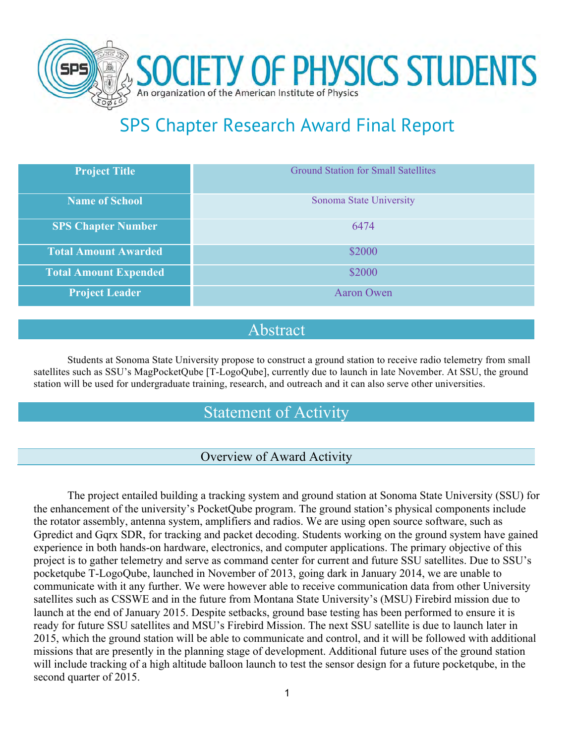

# SPS Chapter Research Award Final Report

| <b>Project Title</b>         | <b>Ground Station for Small Satellites</b> |
|------------------------------|--------------------------------------------|
| <b>Name of School</b>        | Sonoma State University                    |
| <b>SPS Chapter Number</b>    | 6474                                       |
| <b>Total Amount Awarded</b>  | \$2000                                     |
| <b>Total Amount Expended</b> | \$2000                                     |
| <b>Project Leader</b>        | <b>Aaron Owen</b>                          |

### Abstract

Students at Sonoma State University propose to construct a ground station to receive radio telemetry from small satellites such as SSU's MagPocketQube [T-LogoQube], currently due to launch in late November. At SSU, the ground station will be used for undergraduate training, research, and outreach and it can also serve other universities.

## Statement of Activity

#### Overview of Award Activity

The project entailed building a tracking system and ground station at Sonoma State University (SSU) for the enhancement of the university's PocketQube program. The ground station's physical components include the rotator assembly, antenna system, amplifiers and radios. We are using open source software, such as Gpredict and Gqrx SDR, for tracking and packet decoding. Students working on the ground system have gained experience in both hands-on hardware, electronics, and computer applications. The primary objective of this project is to gather telemetry and serve as command center for current and future SSU satellites. Due to SSU's pocketqube T-LogoQube, launched in November of 2013, going dark in January 2014, we are unable to communicate with it any further. We were however able to receive communication data from other University satellites such as CSSWE and in the future from Montana State University's (MSU) Firebird mission due to launch at the end of January 2015. Despite setbacks, ground base testing has been performed to ensure it is ready for future SSU satellites and MSU's Firebird Mission. The next SSU satellite is due to launch later in 2015, which the ground station will be able to communicate and control, and it will be followed with additional missions that are presently in the planning stage of development. Additional future uses of the ground station will include tracking of a high altitude balloon launch to test the sensor design for a future pocketqube, in the second quarter of 2015.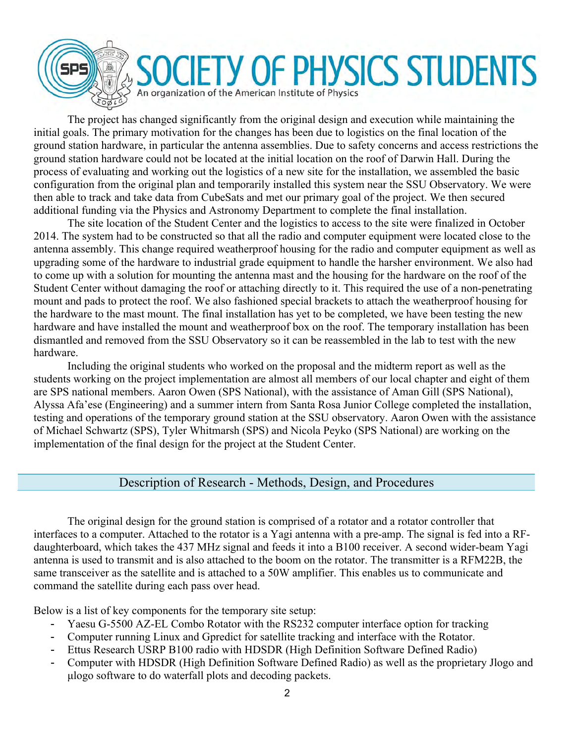

The project has changed significantly from the original design and execution while maintaining the initial goals. The primary motivation for the changes has been due to logistics on the final location of the ground station hardware, in particular the antenna assemblies. Due to safety concerns and access restrictions the ground station hardware could not be located at the initial location on the roof of Darwin Hall. During the process of evaluating and working out the logistics of a new site for the installation, we assembled the basic configuration from the original plan and temporarily installed this system near the SSU Observatory. We were then able to track and take data from CubeSats and met our primary goal of the project. We then secured additional funding via the Physics and Astronomy Department to complete the final installation.

The site location of the Student Center and the logistics to access to the site were finalized in October 2014. The system had to be constructed so that all the radio and computer equipment were located close to the antenna assembly. This change required weatherproof housing for the radio and computer equipment as well as upgrading some of the hardware to industrial grade equipment to handle the harsher environment. We also had to come up with a solution for mounting the antenna mast and the housing for the hardware on the roof of the Student Center without damaging the roof or attaching directly to it. This required the use of a non-penetrating mount and pads to protect the roof. We also fashioned special brackets to attach the weatherproof housing for the hardware to the mast mount. The final installation has yet to be completed, we have been testing the new hardware and have installed the mount and weatherproof box on the roof. The temporary installation has been dismantled and removed from the SSU Observatory so it can be reassembled in the lab to test with the new hardware.

Including the original students who worked on the proposal and the midterm report as well as the students working on the project implementation are almost all members of our local chapter and eight of them are SPS national members. Aaron Owen (SPS National), with the assistance of Aman Gill (SPS National), Alyssa Afa'ese (Engineering) and a summer intern from Santa Rosa Junior College completed the installation, testing and operations of the temporary ground station at the SSU observatory. Aaron Owen with the assistance of Michael Schwartz (SPS), Tyler Whitmarsh (SPS) and Nicola Peyko (SPS National) are working on the implementation of the final design for the project at the Student Center.

#### Description of Research - Methods, Design, and Procedures

The original design for the ground station is comprised of a rotator and a rotator controller that interfaces to a computer. Attached to the rotator is a Yagi antenna with a pre-amp. The signal is fed into a RFdaughterboard, which takes the 437 MHz signal and feeds it into a B100 receiver. A second wider-beam Yagi antenna is used to transmit and is also attached to the boom on the rotator. The transmitter is a RFM22B, the same transceiver as the satellite and is attached to a 50W amplifier. This enables us to communicate and command the satellite during each pass over head.

Below is a list of key components for the temporary site setup:

- Yaesu G-5500 AZ-EL Combo Rotator with the RS232 computer interface option for tracking
- Computer running Linux and Gpredict for satellite tracking and interface with the Rotator.
- Ettus Research USRP B100 radio with HDSDR (High Definition Software Defined Radio)
- Computer with HDSDR (High Definition Software Defined Radio) as well as the proprietary Jlogo and µlogo software to do waterfall plots and decoding packets.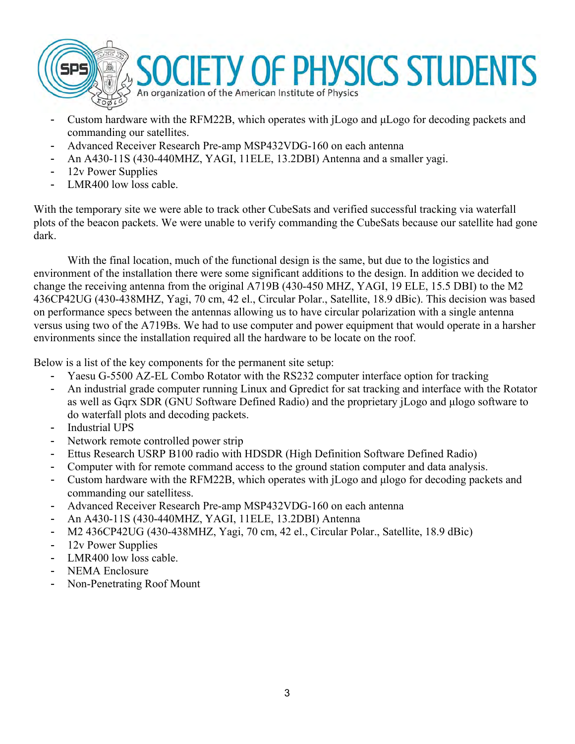

- Custom hardware with the RFM22B, which operates with jLogo and µLogo for decoding packets and commanding our satellites.
- Advanced Receiver Research Pre-amp MSP432VDG-160 on each antenna
- An A430-11S (430-440MHZ, YAGI, 11ELE, 13.2DBI) Antenna and a smaller yagi.
- 12v Power Supplies
- LMR400 low loss cable.

With the temporary site we were able to track other CubeSats and verified successful tracking via waterfall plots of the beacon packets. We were unable to verify commanding the CubeSats because our satellite had gone dark.

With the final location, much of the functional design is the same, but due to the logistics and environment of the installation there were some significant additions to the design. In addition we decided to change the receiving antenna from the original A719B (430-450 MHZ, YAGI, 19 ELE, 15.5 DBI) to the M2 436CP42UG (430-438MHZ, Yagi, 70 cm, 42 el., Circular Polar., Satellite, 18.9 dBic). This decision was based on performance specs between the antennas allowing us to have circular polarization with a single antenna versus using two of the A719Bs. We had to use computer and power equipment that would operate in a harsher environments since the installation required all the hardware to be locate on the roof.

Below is a list of the key components for the permanent site setup:

- Yaesu G-5500 AZ-EL Combo Rotator with the RS232 computer interface option for tracking
- An industrial grade computer running Linux and Gpredict for sat tracking and interface with the Rotator as well as Gqrx SDR (GNU Software Defined Radio) and the proprietary jLogo and µlogo software to do waterfall plots and decoding packets.
- Industrial UPS
- Network remote controlled power strip
- Ettus Research USRP B100 radio with HDSDR (High Definition Software Defined Radio)
- Computer with for remote command access to the ground station computer and data analysis.
- Custom hardware with the RFM22B, which operates with jLogo and µlogo for decoding packets and commanding our satellitess.
- Advanced Receiver Research Pre-amp MSP432VDG-160 on each antenna
- An A430-11S (430-440MHZ, YAGI, 11ELE, 13.2DBI) Antenna
- M2 436CP42UG (430-438MHZ, Yagi, 70 cm, 42 el., Circular Polar., Satellite, 18.9 dBic)
- 12v Power Supplies
- LMR400 low loss cable.
- NEMA Enclosure
- Non-Penetrating Roof Mount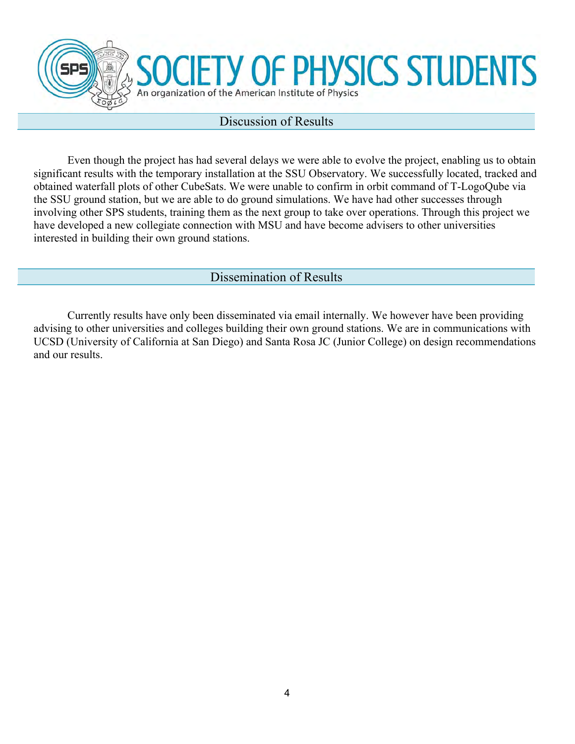

# **ETY OF PHYSICS STUDENTS** An organization of the American Institute of Physics

#### Discussion of Results

Even though the project has had several delays we were able to evolve the project, enabling us to obtain significant results with the temporary installation at the SSU Observatory. We successfully located, tracked and obtained waterfall plots of other CubeSats. We were unable to confirm in orbit command of T-LogoQube via the SSU ground station, but we are able to do ground simulations. We have had other successes through involving other SPS students, training them as the next group to take over operations. Through this project we have developed a new collegiate connection with MSU and have become advisers to other universities interested in building their own ground stations.

#### Dissemination of Results

Currently results have only been disseminated via email internally. We however have been providing advising to other universities and colleges building their own ground stations. We are in communications with UCSD (University of California at San Diego) and Santa Rosa JC (Junior College) on design recommendations and our results.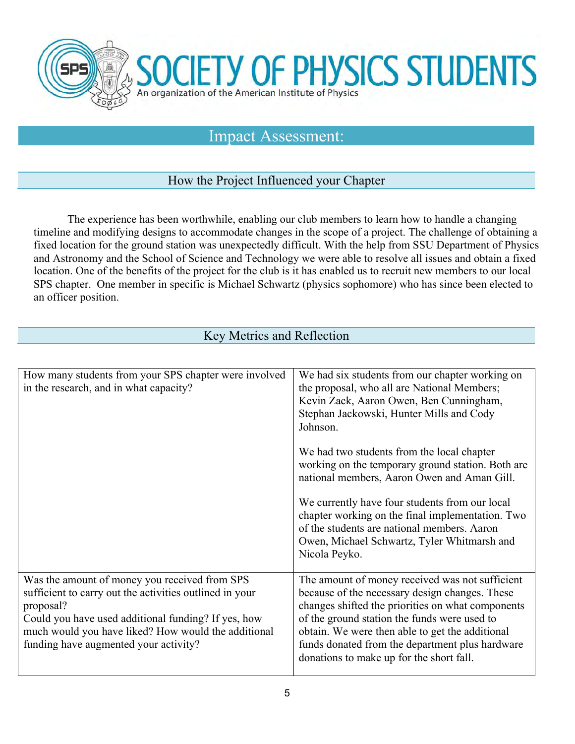

#### Impact Assessment:

#### How the Project Influenced your Chapter

The experience has been worthwhile, enabling our club members to learn how to handle a changing timeline and modifying designs to accommodate changes in the scope of a project. The challenge of obtaining a fixed location for the ground station was unexpectedly difficult. With the help from SSU Department of Physics and Astronomy and the School of Science and Technology we were able to resolve all issues and obtain a fixed location. One of the benefits of the project for the club is it has enabled us to recruit new members to our local SPS chapter. One member in specific is Michael Schwartz (physics sophomore) who has since been elected to an officer position.

#### Key Metrics and Reflection

| How many students from your SPS chapter were involved<br>in the research, and in what capacity?                                                                                                                                                                              | We had six students from our chapter working on<br>the proposal, who all are National Members;<br>Kevin Zack, Aaron Owen, Ben Cunningham,<br>Stephan Jackowski, Hunter Mills and Cody<br>Johnson.                                                                                                                                                        |
|------------------------------------------------------------------------------------------------------------------------------------------------------------------------------------------------------------------------------------------------------------------------------|----------------------------------------------------------------------------------------------------------------------------------------------------------------------------------------------------------------------------------------------------------------------------------------------------------------------------------------------------------|
|                                                                                                                                                                                                                                                                              | We had two students from the local chapter<br>working on the temporary ground station. Both are<br>national members, Aaron Owen and Aman Gill.                                                                                                                                                                                                           |
|                                                                                                                                                                                                                                                                              | We currently have four students from our local<br>chapter working on the final implementation. Two<br>of the students are national members. Aaron<br>Owen, Michael Schwartz, Tyler Whitmarsh and<br>Nicola Peyko.                                                                                                                                        |
| Was the amount of money you received from SPS<br>sufficient to carry out the activities outlined in your<br>proposal?<br>Could you have used additional funding? If yes, how<br>much would you have liked? How would the additional<br>funding have augmented your activity? | The amount of money received was not sufficient<br>because of the necessary design changes. These<br>changes shifted the priorities on what components<br>of the ground station the funds were used to<br>obtain. We were then able to get the additional<br>funds donated from the department plus hardware<br>donations to make up for the short fall. |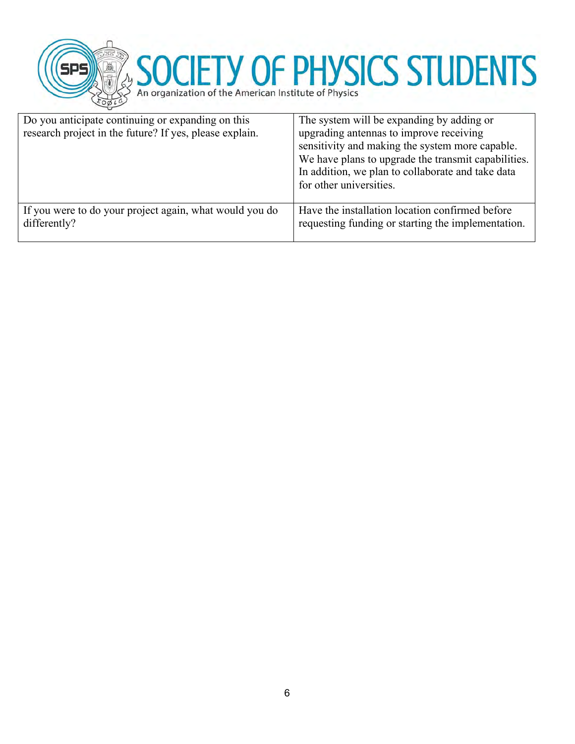

# SOCIETY OF PHYSICS STUDENTS

| Do you anticipate continuing or expanding on this<br>research project in the future? If yes, please explain. | The system will be expanding by adding or<br>upgrading antennas to improve receiving<br>sensitivity and making the system more capable.<br>We have plans to upgrade the transmit capabilities.<br>In addition, we plan to collaborate and take data<br>for other universities. |
|--------------------------------------------------------------------------------------------------------------|--------------------------------------------------------------------------------------------------------------------------------------------------------------------------------------------------------------------------------------------------------------------------------|
| If you were to do your project again, what would you do<br>differently?                                      | Have the installation location confirmed before<br>requesting funding or starting the implementation.                                                                                                                                                                          |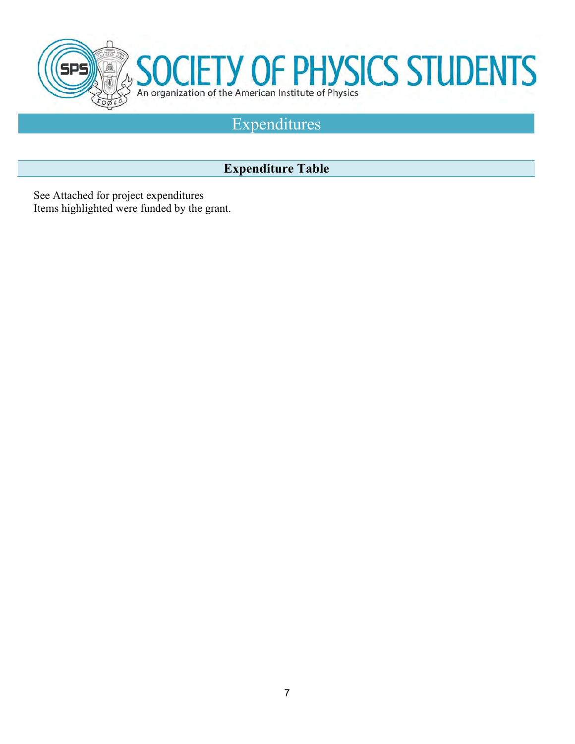

# Expenditures

### **Expenditure Table**

See Attached for project expenditures Items highlighted were funded by the grant.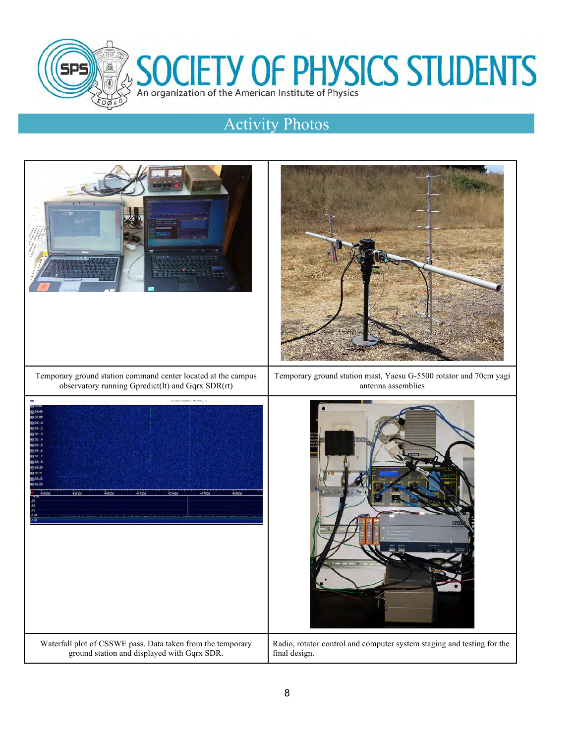

# SOCIETY OF PHYSICS STUDENTS

# Activity Photos

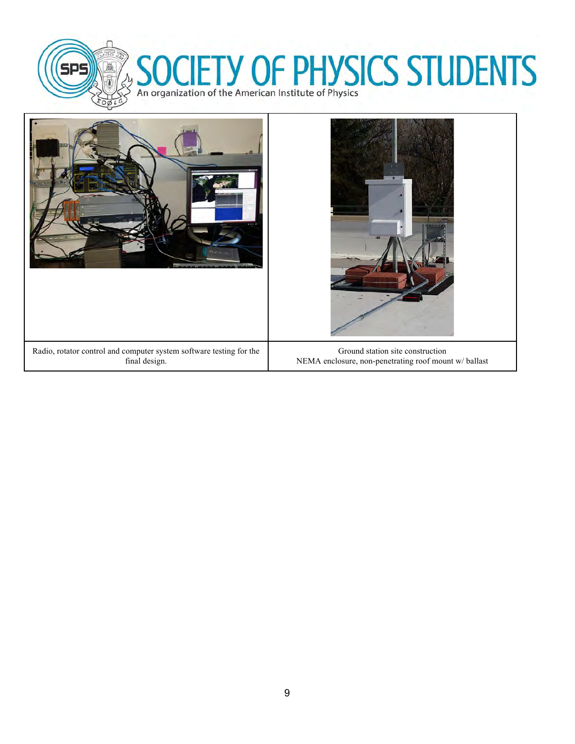

# SOCIETY OF PHYSICS STUDENTS